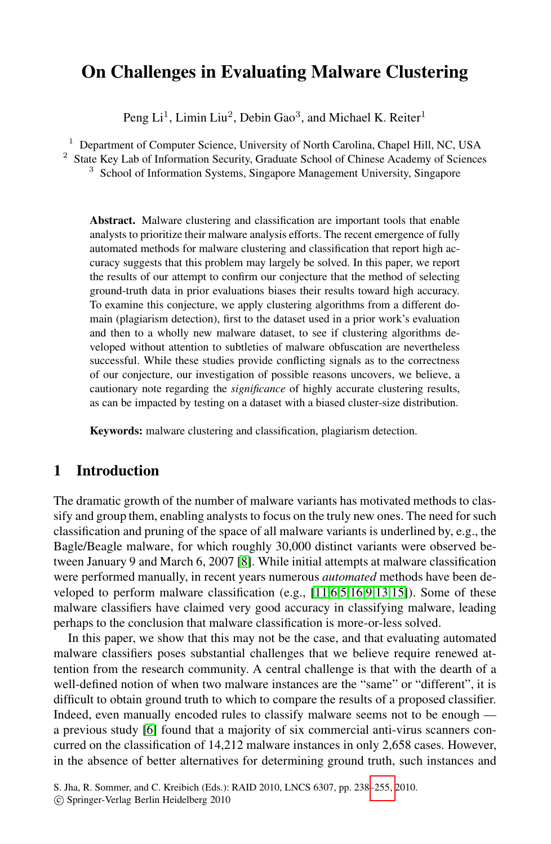# **On Challenges in Evaluating Malware Clustering**

Peng  $Li<sup>1</sup>$ , Limin Liu<sup>2</sup>, Debin Gao<sup>3</sup>, and Michael K. Reiter<sup>1</sup>

<sup>1</sup> Department of Computer Science, University of North Carolina, Chapel Hill, NC, USA

<sup>2</sup> State Key Lab of Information Security, Graduate School of Chinese Academy of Sciences

<sup>3</sup> School of Information Systems, Singapore Management University, Singapore

**Abstract.** Malware clustering and classification are important tools that enable analysts to prioritize their malware analysis efforts. The recent emergence of fully automated methods for malware clustering and classification that report high accuracy suggests that this problem may largely be solved. In this paper, we report the results of our attempt to confirm our conjecture that the method of selecting ground-truth data in prior evaluations biases their results toward high accuracy. To examine this conjecture, we apply clustering algorithms from a different domain (plagiarism detection), first to the dataset used in a prior work's evaluation and then to a wholly new malware dataset, to see if clustering algorithms developed without attention to subtleties of malware obfuscation are nevertheless successful. While these studies provide conflicting signals as to the correctness of our conjecture, our investigation of possible reasons uncovers, we believe, a cautionary note regarding the *significance* of highly accurate clustering results, as can be impacted by testing on a dataset with a biased cluster-size distribution.

**Keywords:** malware clustering and classification, plagiarism detection.

# **1 Introduction**

The dramatic growth of the number of malware variants has motivated methods to classify and group them, enabling analysts to focus on the truly new ones. The need for such classification and pruning of the space of all malware variants is underlined by, e.g., the Bagle/Beagle malware, for which roughly 30,000 distinct variants were observed between January 9 and March 6, 2007 [8]. While initial attempts at malware classification were performed manually, in recent years numerous *automated* methods have been developed to perform malware classification (e.g., [11,6,5,16,9,13,15]). Some of these malware classifiers have claimed very good accuracy in classifying malware, leading perhaps to the conclusion that malware classification is more-or-less solved.

In this paper, we show that this may not be the case, and that evaluating automated malware classifiers poses substantial challenges that we believe require renewed attention from the research community. A [centr](#page-17-0)al challenge is that with the dearth of a well-defined notion of when two malware instances are the "same" or "different", it is difficult to obtain ground truth to which to compare the results of a proposed classifier. Indeed, even manually encoded rules to classify malware seems not to be enough a previous study [6] found that a majority of six commercial anti-virus scanners concurred on the classification of 14,212 malware instances in only 2,658 cases. However, in the absence of better alternatives for determining ground truth, such instances and

S. Jha, R. Sommer, and C. Kreibich (Eds.): RAID 2010, LNCS 6307, pp. 238–255, 2010.

-c Springer-Verlag Berlin Heidelberg 2010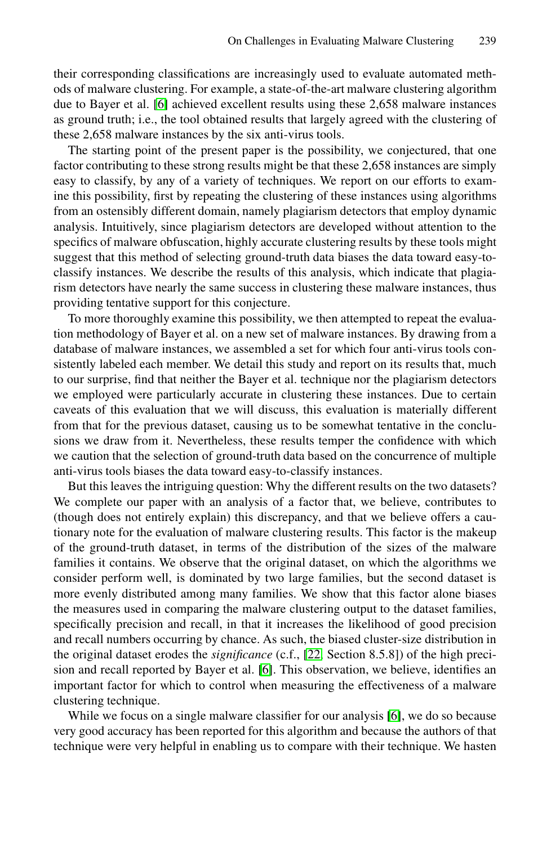their corresponding classifications are increasingly used to evaluate automated methods of malware clustering. For example, a state-of-the-art malware clustering algorithm due to Bayer et al. [6] achieved excellent results using these 2,658 malware instances as ground truth; i.e., the tool obtained results that largely agreed with the clustering of these 2,658 malware instances by the six anti-virus tools.

The starting point of the present paper is the possibility, we conjectured, that one factor contributing to these strong results might be that these 2,658 instances are simply easy to classify, by any of a variety of techniques. We report on our efforts to examine this possibility, first by repeating the clustering of these instances using algorithms from an ostensibly different domain, namely plagiarism detectors that employ dynamic analysis. Intuitively, since plagiarism detectors are developed without attention to the specifics of malware obfuscation, highly accurate clustering results by these tools might suggest that this method of selecting ground-truth data biases the data toward easy-toclassify instances. We describe the results of this analysis, which indicate that plagiarism detectors have nearly the same success in clustering these malware instances, thus providing tentative support for this conjecture.

To more thoroughly examine this possibility, we then attempted to repeat the evaluation methodology of Bayer et al. on a new set of malware instances. By drawing from a database of malware instances, we assembled a set for which four anti-virus tools consistently labeled each member. We detail this study and report on its results that, much to our surprise, find that neither the Bayer et al. technique nor the plagiarism detectors we employed were particularly accurate in clustering these instances. Due to certain caveats of this evaluation that we will discuss, this evaluation is materially different from that for the previous dataset, causing us to be somewhat tentative in the conclusions we draw from it. Nevertheless, these results temper the confidence with which we caution that the selection of ground-truth data based on the concurrence of multiple anti-virus tools biases the data toward easy-to-classify instances.

But this leaves the intriguing question: Why the different results on the two datasets? We complete our paper with an analysis of a factor that, we believe, contributes to (though does not entirely explain) this discrepancy, and that we believe offers a cautionary note for the evaluati[on o](#page-17-1)f malware clustering results. This factor is the makeup of the ground-truth [d](#page-16-0)ataset, in terms of the distribution of the sizes of the malware families it contains. We observe that the original dataset, on which the algorithms we consider perform well, is dominated by two large families, but the second dataset is more evenly distributed among many famili[es](#page-16-0). We show that this factor alone biases the measures used in comparing the malware clustering output to the dataset families, specifically precision and recall, in that it increases the likelihood of good precision and recall numbers occurring by chance. As such, the biased cluster-size distribution in the original dataset erodes the *significance* (c.f., [22, Section 8.5.8]) of the high precision and recall reported by Bayer et al. [6]. This observation, we believe, identifies an important factor for which to control when measuring the effectiveness of a malware clustering technique.

While we focus on a single malware classifier for our analysis [6], we do so because very good accuracy has been reported for this algorithm and because the authors of that technique were very helpful in enabling us to compare with their technique. We hasten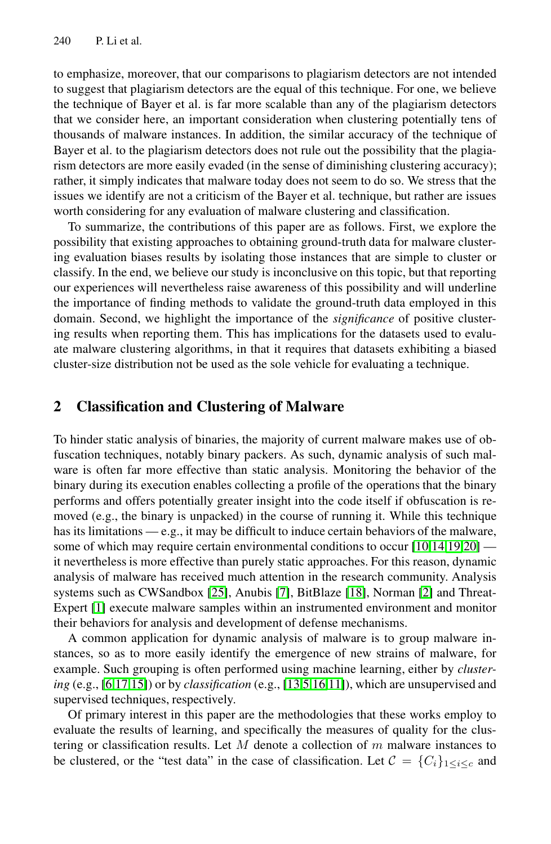to emphasize, moreover, that our comparisons to plagiarism detectors are not intended to suggest that plagiarism detectors are the equal of this technique. For one, we believe the technique of Bayer et al. is far more scalable than any of the plagiarism detectors that we consider here, an important consideration when clustering potentially tens of thousands of malware instances. In addition, the similar accuracy of the technique of Bayer et al. to the plagiarism detectors does not rule out the possibility that the plagiarism detectors are more easily evaded (in the sense of diminishing clustering accuracy); rather, it simply indicates that malware today does not seem to do so. We stress that the issues we identify are not a criticism of the Bayer et al. technique, but rather are issues worth considering for any evaluation of malware clustering and classification.

<span id="page-2-0"></span>To summarize, the contributions of this paper are as follows. First, we explore the possibility that existing approaches to obtaining ground-truth data for malware clustering evaluation biases results by isolating those instances that are simple to cluster or classify. In the end, we believe our study is inconclusive on this topic, but that reporting our experiences will nevertheless raise awareness of this possibility and will underline the importance of finding methods to validate the ground-truth data employed in this domain. Second, we highlight the importance of the *significance* of positive clustering results when reporting them. This has implications for the datasets used to evaluate malware clustering algorithms, in that it requires that datasets exhibiting a biased cluster-size distribution not be used as the sole vehicle for evaluating a technique.

# **2 Classification and Clustering of Malware**

To hinder static analysis of binaries, the majority [of](#page-16-1) [cur](#page-16-2)[ren](#page-17-2)[t](#page-17-3) [ma](#page-17-3)lware makes use of obfuscation techniques, notably binary packers. As such, dynamic analysis of such malware is o[ften](#page-17-4) far mor[e e](#page-16-3)ffective tha[n st](#page-17-5)atic analy[sis](#page-16-4). Monitoring the behavior of the binary during its execution enables collecting a profile of the operations that the binary performs and offers potentially greater insight into the code itself if obfuscation is removed (e.g., the binary is unpacked) in the course of running it. While this technique has its limitations — e.g., it may be difficult to induce certain behaviors of the malware, some of which may require certain environmental conditions to occur [10,14,19,20] it nevertheless is more e[ffec](#page-16-5)[ti](#page-16-6)[ve t](#page-16-7)[han](#page-16-8) purely static approaches. For this reason, dynamic analysis of malware has received much attention in the research community. Analysis systems such as CWSandbox [25], Anubis [7], BitBlaze [18], Norman [2] and Threat-Expert [1] execute malware samples within an instrumented environment and monitor their behaviors for analysis and development of defense mechanisms.

A common application for dynamic analysis of malware is to group malware instances, so as to more easily identify the emergence of new strains of malware, for example. Such grouping is often performed using machine learning, either by *clustering* (e.g., [6,17,15]) or by *classification* (e.g., [13,5,16,11]), which are unsupervised and supervised techniques, respectively.

Of primary interest in this paper are the methodologies that these works employ to evaluate the results of learning, and specifically the measures of quality for the clustering or classification results. Let  $M$  denote a collection of  $m$  malware instances to be clustered, or the "test data" in the case of classification. Let  $C = \{C_i\}_{1 \leq i \leq c}$  and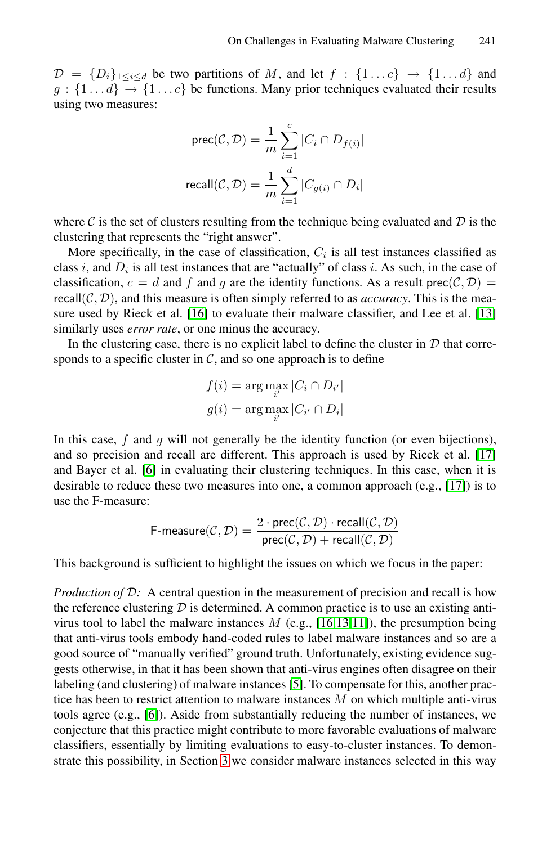$\mathcal{D} = \{D_i\}_{1 \leq i \leq d}$  be two partitions of M, and let  $f : \{1 \dots c\} \rightarrow \{1 \dots d\}$  and  $g: \{1...d\} \rightarrow \{1...c\}$  be functions. Many prior techniques evaluated their results using two measures:

$$
\text{prec}(\mathcal{C}, \mathcal{D}) = \frac{1}{m} \sum_{i=1}^{c} |C_i \cap D_{f(i)}|
$$
  

$$
\text{recall}(\mathcal{C}, \mathcal{D}) = \frac{1}{m} \sum_{i=1}^{d} |C_{g(i)} \cap D_i|
$$

where C is the set of clusters resulting from the technique being evaluated and D is the clustering that represents the "right answer".

More specifically, in the case of classification,  $C<sub>i</sub>$  is all test instances classified as class i, and  $D_i$  is all test instances that are "actually" of class i. As such, in the case of classification,  $c = d$  and f and g are the identity functions. As a result prec $(C, D)$ recall $(C, D)$ , and this measure is often simply referred to as *accuracy*. This is the measure used by Rieck et al. [16] to evaluate their malware classifier, and Lee et al. [13] similarly uses *error rate*, or one minus the accuracy.

In th[e](#page-17-6) [cl](#page-17-6)ustering case, there is no explicit label to define the cluster in  $D$  that corresponds to a specific cluster in  $C$ , and so one approach is [to d](#page-17-6)efine

$$
f(i) = \arg\max_{i'} |C_i \cap D_{i'}|
$$
  

$$
g(i) = \arg\max_{i'} |C_{i'} \cap D_i|
$$

In this case,  $f$  and  $q$  will not generally be the identity function (or even bijections), and so precision and recall are different. This approach is used by Rieck et al. [17] and Bayer et al. [6] in evaluating their clustering techniques. In this case, when it is desirable to reduce these two measures into one, a common approach (e.g., [17]) is to use the F-measure:

$$
\mathsf{F-measure}(\mathcal{C}, \mathcal{D}) = \frac{2 \cdot \text{prec}(\mathcal{C}, \mathcal{D}) \cdot \text{recall}(\mathcal{C}, \mathcal{D})}{\text{prec}(\mathcal{C}, \mathcal{D}) + \text{recall}(\mathcal{C}, \mathcal{D})}
$$

This background is suffici[en](#page-16-6)t to highlight the issues on which we focus in the paper:

*Production of D:* A central question in the measurement of precision and recall is how the reference clustering  $D$  is determined. A common practice is to use an existing antivirus tool to label the malware instances  $M$  (e.g., [16,13,11]), the presumption being that anti-vir[us](#page-4-0) tools embody hand-coded rules to label malware instances and so are a good source of "manually verified" ground truth. Unfortunately, existing evidence suggests otherwise, in that it has been shown that anti-virus engines often disagree on their labeling (and clustering) of malware instances [5]. To compensate for this, another practice has been to restrict attention to malware instances  $M$  on which multiple anti-virus tools agree (e.g., [6]). Aside from substantially reducing the number of instances, we conjecture that this practice might contribute to more favorable evaluations of malware classifiers, essentially by limiting evaluations to easy-to-cluster instances. To demonstrate this possibility, in Section 3 we consider malware instances selected in this way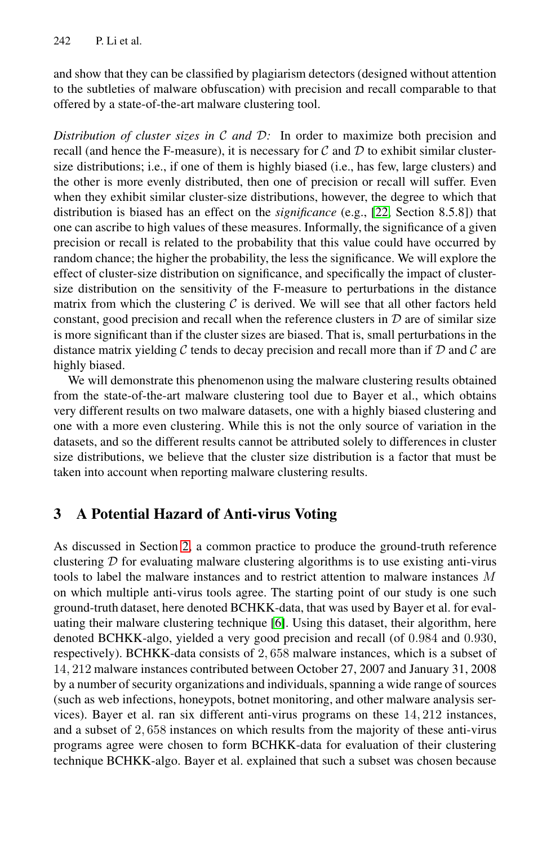and show that they can be classified by plagiarism detectors (designed without attention to the subtleties of malware obfuscation) [wit](#page-17-1)h precision and recall comparable to that offered by a state-of-the-art malware clustering tool.

*Distribution of cluster sizes in* C *and* D: In order to maximize both precision and recall (and hence the F-measure), it is necessary for  $\mathcal C$  and  $\mathcal D$  to exhibit similar clustersize distributions; i.e., if one of them is highly biased (i.e., has few, large clusters) and the other is more evenly distributed, then one of precision or recall will suffer. Even when they exhibit similar cluster-size distributions, however, the degree to which that distribution is biased has an effect on the *significance* (e.g., [22, Section 8.5.8]) that one can ascribe to high values of these measures. Informally, the significance of a given precision or recall is related to the probability that this value could have occurred by random chance; the higher the probability, the less the significance. We will explore the effect of cluster-size distribution on significance, and specifically the impact of clustersize distribution on the sensitivity of the F-measure to perturbations in the distance matrix from which the clustering  $C$  is derived. We will see that all other factors held constant, good precision and recall when the reference clusters in  $D$  are of similar size is more significant than if the cluster sizes are biased. That is, small perturbations in the distance matrix yielding  $C$  tends to decay precision and recall more than if  $D$  and  $C$  are highly biased.

<span id="page-4-0"></span>We will demonstrate this phenomenon using the malware clustering results obtained from the state-of-the-art malware clustering tool due to Bayer et al., which obtains very different results on two malware datasets, one with a highly biased clustering and one [w](#page-2-0)ith a more even clustering. While this is not the only source of variation in the datasets, and so the different results cannot be attributed solely to differences in cluster size distributions, we believe that the cluster size distribution is a factor that must be taken into account when reporting malware clustering results.

# **3 A Potential H[az](#page-16-0)ard of Anti-virus Voting**

As discussed in Section 2, a common practice to produce the ground-truth reference clustering  $D$  for evaluating malware clustering algorithms is to use existing anti-virus tools to label the malware instances and to restrict attention to malware instances M on which multiple anti-virus tools agree. The starting point of our study is one such ground-truth dataset, here denoted BCHKK-data, that was used by Bayer et al. for evaluating their malware clustering technique [6]. Using this dataset, their algorithm, here denoted BCHKK-algo, yielded a very good precision and recall (of 0.984 and 0.930, respectively). BCHKK-data consists of 2, 658 malware instances, which is a subset of 14, 212 malware instances contributed between October 27, 2007 and January 31, 2008 by a number of security organizations and individuals, spanning a wide range of sources (such as web infections, honeypots, botnet monitoring, and other malware analysis services). Bayer et al. ran six different anti-virus programs on these 14, 212 instances, and a subset of 2, 658 instances on which results from the majority of these anti-virus programs agree were chosen to form BCHKK-data for evaluation of their clustering technique BCHKK-algo. Bayer et al. explained that such a subset was chosen because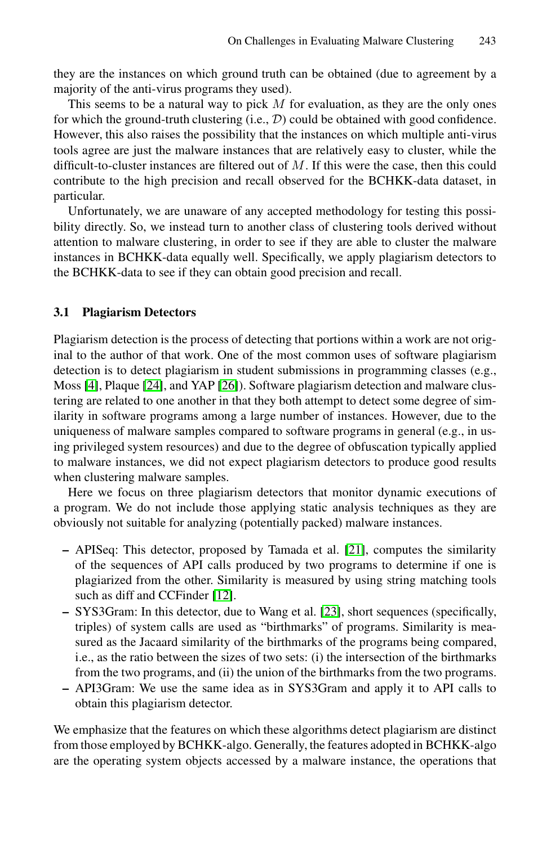they are the instances on which ground truth can be obtained (due to agreement by a majority of the anti-virus programs they used).

This seems to be a natural way to pick  $M$  for evaluation, as they are the only ones for which the ground-truth clustering  $(i.e.,  $D$ ) could be obtained with good confidence.$ However, this also raises the possibility that the instances on which multiple anti-virus tools agree are just the malware instances that are relatively easy to cluster, while the difficult-to-cluster instances are filtered out of  $M$ . If this were the case, then this could contribute to the high precision and recall observed for the BCHKK-data dataset, in particular.

Unfortunately, we are unaware of any accepted methodology for testing this possibility directly. So, we instead turn to another class of clustering tools derived without attention to malware clustering, in order to see if they are able to cluster the malware instances in BCHKK-data equally well. Specifically, we apply plagiarism detectors to [t](#page-17-7)he BCHK[K-da](#page-17-8)ta to see if they can obtain good precision and recall.

#### **3.1 Plagiarism Detectors**

Plagiarism detection is the process of detecting that portions within a work are not original to the author of that work. One of the most common uses of software plagiarism detection is to detect plagiarism in student submissions in programming classes (e.g., Moss [4], Plaque [24], and YAP [26]). Software plagiarism detection and malware clustering are related to one another in that they both attempt to detect some degree of similarity in software programs among a large number of instances. However, due to the uniqueness of malware samples com[par](#page-17-9)ed to software programs in general (e.g., in using privileged system resources) and due to the degree of obfuscation typically applied to malware instances, we did not expect plagiarism detectors to produce good results when clust[erin](#page-16-9)g malware samples.

Here we focus on three pla[giar](#page-17-10)ism detectors that monitor dynamic executions of a program. We do not include those applying static analysis techniques as they are obviously not suitable for analyzing (potentially packed) malware instances.

- **–** APISeq: This detector, proposed by Tamada et al. [21], computes the similarity of the sequences of API calls produced by two programs to determine if one is plagiarized from the other. Similarity is measured by using string matching tools such as diff and CCFinder [12].
- **–** SYS3Gram: In this detector, due to Wang et al. [23], short sequences (specifically, triples) of system calls are used as "birthmarks" of programs. Similarity is measured as the Jacaard similarity of the birthmarks of the programs being compared, i.e., as the ratio between the sizes of two sets: (i) the intersection of the birthmarks from the two programs, and (ii) the union of the birthmarks from the two programs.
- **–** API3Gram: We use the same idea as in SYS3Gram and apply it to API calls to obtain this plagiarism detector.

We emphasize that the features on which these algorithms detect plagiarism are distinct from those employed by BCHKK-algo. Generally, the features adopted in BCHKK-algo are the operating system objects accessed by a malware instance, the operations that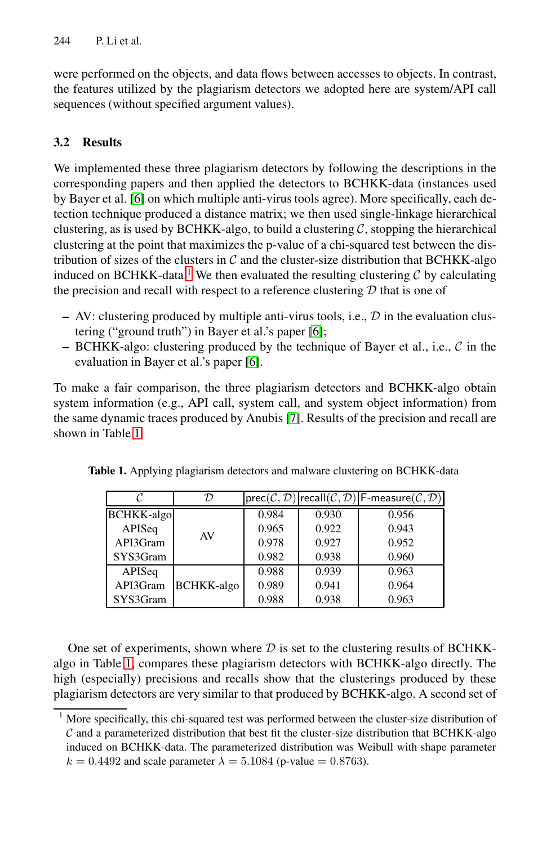were performed on the objects, and data flows between accesses to objects. In contrast, the features utilized by the plagiarism detectors we adopted here are system/API call sequences (without specified argument values).

# **3.2 [R](#page-6-0)esults**

We implemented these three plagiarism detectors by following the descriptions in the corresponding papers and then applied the detectors to BCHKK-data (instances used by Bayer et al. [6] on which multiple anti-virus tools agree). More specifically, each detection technique produced a [di](#page-16-0)stance matrix; we then used single-linkage hierarchical clustering, as is used by BCHKK-algo, to build a clustering  $C$ , stopping the hierarchical clustering at the [po](#page-16-0)int that maximizes the p-value of a chi-squared test between the distribution of sizes of the clusters in  $\mathcal C$  and the cluster-size distribution that BCHKK-algo induced on BCHKK-data.<sup>1</sup> We then evaluated the resulting clustering  $C$  by calculating the precision and recall [wit](#page-16-3)h respect to a reference clustering  $D$  that is one of

- **–** AV: clustering produced by multiple anti-virus tools, i.e., D in the evaluation clustering ("ground truth") in Bayer et al.'s paper [6];
- **–** BCHKK-algo: clustering produced by the technique of Bayer et al., i.e., C in the evaluation in Bayer et al.'s paper [6].

<span id="page-6-1"></span>To make a fair comparison, the three plagiarism detectors and BCHKK-algo obtain system information (e.g., API call, system call, and system object information) from the same dynamic traces produced by Anubis [7]. Results of the precision and recall are shown in Table 1.

|                   |                   |       |       | $prec(C, D)$  recall $(C, D)$  F-measure $(C, D)$ |  |
|-------------------|-------------------|-------|-------|---------------------------------------------------|--|
| <b>BCHKK-algo</b> |                   | 0.984 | 0.930 | 0.956                                             |  |
| APISeq            | AV                | 0.965 | 0.922 | 0.943                                             |  |
| API3Gram          |                   | 0.978 | 0.927 | 0.952                                             |  |
| SYS3Gram          |                   | 0.982 | 0.938 | 0.960                                             |  |
| APISeq            |                   | 0.988 | 0.939 | 0.963                                             |  |
| API3Gram          | <b>BCHKK-algo</b> | 0.989 | 0.941 | 0.964                                             |  |
| SYS3Gram          |                   | 0.988 | 0.938 | 0.963                                             |  |

**Table 1.** Applying plagiarism detectors and malware clustering on BCHKK-data

<span id="page-6-0"></span>One set of experiments, shown where  $D$  is set to the clustering results of BCHKKalgo in Table 1, compares these plagiarism detectors with BCHKK-algo directly. The high (especially) precisions and recalls show that the clusterings produced by these plagiarism detectors are very similar to that produced by BCHKK-algo. A second set of

<sup>1</sup> More specifically, this chi-squared test was performed between the cluster-size distribution of  $C$  and a parameterized distribution that best fit the cluster-size distribution that BCHKK-algo induced on BCHKK-data. The parameterized distribution was Weibull with shape parameter  $k = 0.4492$  and scale parameter  $\lambda = 5.1084$  (p-value = 0.8763).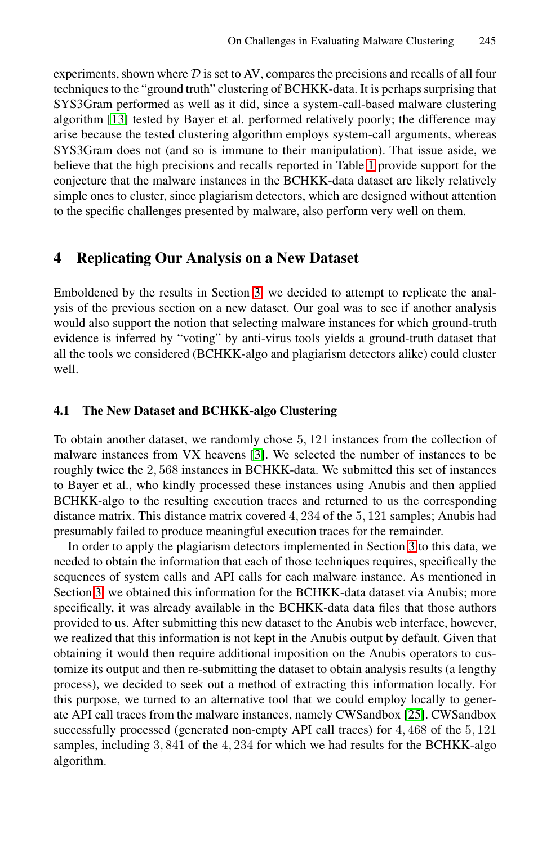<span id="page-7-0"></span>experiments, shown where  $D$  is set to AV, compares the precisions and recalls of all four techniques to the "ground truth" clustering of BCHKK-data. It is perhaps surprising that SYS3Gram performed as well as it did, since a system-call-based malware clustering algorithm [13] tested by Bayer et al. performed relatively poorly; the difference may arise because the tested clustering algorithm employs system-call arguments, whereas SYS3Gram does not (and so is immune to their manipulation). That issue aside, we believe that the high precisions and recalls reported in Table 1 provide support for the conjecture that th[e](#page-4-0) [m](#page-4-0)alware instances in the BCHKK-data dataset are likely relatively simple ones to cluster, since plagiarism detectors, which are designed without attention to the specific challenges presented by malware, also perform very well on them.

# **4 Replicating Our Analysis on a New Dataset**

Emboldened by the results in Section 3, we decided to attempt to replicate the analysis of the previous section on a new dataset. Our goal was to see if another analysis would also support the notion that selecting malware instances for which ground-truth evidence is inferr[ed](#page-16-10) by "voting" by anti-virus tools yields a ground-truth dataset that all the tools we considered (BCHKK-algo and plagiarism detectors alike) could cluster well.

## **4.1 The New Dataset and BCHKK-algo Clustering**

To obtain another dataset, we randomly chose 5[,](#page-4-0) 121 instances from the collection of malware instances from VX heavens [3]. We selected the number of instances to be roughly twice the 2, 568 instances in BCHKK-data. We submitted this set of instances to Bayer et al., who kindly processed these instances using Anubis and then applied BCHKK-algo to the resulting execution traces and returned to us the corresponding distance matrix. This distance matrix covered 4, 234 of the 5, 121 samples; Anubis had presumably failed to produce meaningful execution traces for the remainder.

In order to apply the plagiarism detectors implemented in Section 3 to this data, we needed to obtain the information that each of those techniques requires, specifically the sequences of system calls and API calls for each malware instance. As mentioned in Section 3, we obtained this information for the [BCH](#page-17-4)KK-data dataset via Anubis; more specifically, it was already available in the BCHKK-data data files that those authors provided to us. After submitting this new dataset to the Anubis web interface, however, we realized that this information is not kept in the Anubis output by default. Given that obtaining it would then require additional imposition on the Anubis operators to customize its output and then re-submitting the dataset to obtain analysis results (a lengthy process), we decided to seek out a method of extracting this information locally. For this purpose, we turned to an alternative tool that we could employ locally to generate API call traces from the malware instances, namely CWSandbox [25]. CWSandbox successfully processed (generated non-empty API call traces) for 4, 468 of the 5, 121 samples, including 3, 841 of the 4, 234 for which we had results for the BCHKK-algo algorithm.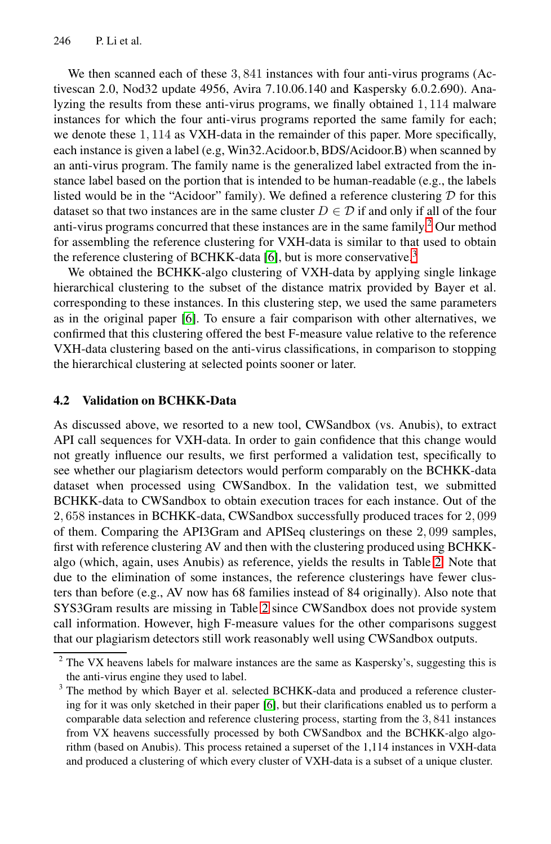We then scanned each of these 3, 841 instances with four anti-virus programs (Activescan 2.0, Nod32 update 4956, Avira 7.10.06.140 and Kaspersky 6.0.2.690). Analyzing the results from these anti-virus programs, [we](#page-8-0) finally obtained 1, 114 malware instances for which the four anti-virus programs reported the same family for each; we denote these 1, 1[14](#page-16-0) as VXH-data in the rema[in](#page-8-1)der of this paper. More specifically, each instance is given a label (e.g, Win32.Acidoor.b, BDS/Acidoor.B) when scanned by an anti-virus program. The family name is the generalized label extracted from the instance label based on the portion that is intended to be human-readable (e.g., the labels liste[d w](#page-16-0)ould be in the "Acidoor" family). We defined a reference clustering  $D$  for this dataset so that two instances are in the same cluster  $D \in \mathcal{D}$  if and only if all of the four anti-virus programs concurred that these instances are in the same family.<sup>2</sup> Our method for assembling the reference clustering for VXH-data is similar to that used to obtain the reference clustering of BCHKK-data [6], but is more conservative.<sup>3</sup>

We obtained the BCHKK-algo clustering of VXH-data by applying single linkage hierarchical clustering to the subset of the distance matrix provided by Bayer et al. corresponding to these instances. In this clustering step, we used the same parameters as in the original paper [6]. To ensure a fair comparison with other alternatives, we confirmed that this clustering offered the best F-measure value relative to the reference VXH-data clustering based on the anti-virus classifications, in comparison to stopping the hierarchical clustering at selected points sooner or later.

#### **4.2 Validation on BCHKK-Data**

As discussed above, we resorted to a new tool, CWSandbox (vs. Anubis), to extract API call sequences for VXH-data. In order to gain c[on](#page-9-0)fidence that this change would not greatly influence our results, we first performed a validation test, specifically to see whether our plagiarism detectors would perform comparably on the BCHKK-data dataset when proc[es](#page-9-0)sed using CWSandbox. In the validation test, we submitted BCHKK-data to CWSandbox to obtain execution traces for each instance. Out of the 2, 658 instances in BCHKK-data, CWSandbox successfully produced traces for 2, 099 of them. Comparing the API3Gram and APISeq clusterings on these 2, 099 samples, first with reference clustering AV and then with the clustering produced using BCHKKalgo (which, again, uses Anubis) as reference, yields the results in Table 2. Note that due to the elimination of some instances, the reference clusterings have fewer clusters than before (e.g[.,](#page-16-0) [A](#page-16-0)V now has 68 families instead of 84 originally). Also note that SYS3Gram results are missing in Table 2 since CWSandbox does not provide system call information. However, high F-measure values for the other comparisons suggest that our plagiarism detectors still work reasonably well using CWSandbox outputs.

<span id="page-8-1"></span><span id="page-8-0"></span> $2^2$  The VX heavens labels for malware instances are the same as Kaspersky's, suggesting this is the anti-virus engine they used to label.

<sup>&</sup>lt;sup>3</sup> The method by which Bayer et al. selected BCHKK-data and produced a reference clustering for it was only sketched in their paper [6], but their clarifications enabled us to perform a comparable data selection and reference clustering process, starting from the 3, 841 instances from VX heavens successfully processed by both CWSandbox and the BCHKK-algo algorithm (based on Anubis). This process retained a superset of the 1,114 instances in VXH-data and produced a clustering of which every cluster of VXH-data is a subset of a unique cluster.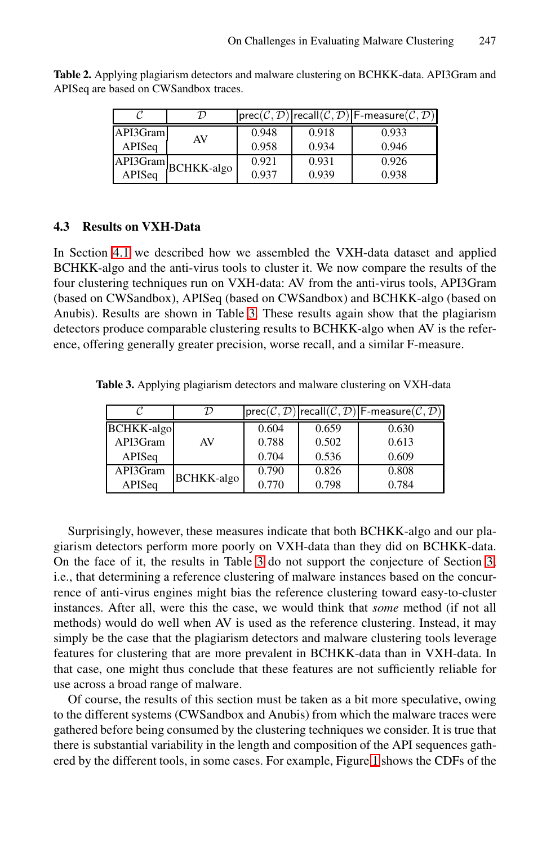<span id="page-9-0"></span>**Table 2.** Applying plagiarism detectors and malware clustering on BCHKK-data. API3Gram and APISeq are based on CWSandbox traces.

|          |                                     |       |       | $ prec(\mathcal{C}, \mathcal{D}) recall(\mathcal{C}, \mathcal{D}) $ F-measure $(\mathcal{C}, \mathcal{D})$ |
|----------|-------------------------------------|-------|-------|------------------------------------------------------------------------------------------------------------|
| API3Gram | AV                                  | 0.948 | 0.918 | 0.933                                                                                                      |
| APISeq   |                                     | 0.958 | 0.934 | 0.946                                                                                                      |
|          | $\sqrt{\text{API3Gram}}$ BCHKK-algo | 0.921 | 0.931 | 0.926                                                                                                      |
| APISeq   |                                     | 0.937 | 0.939 | 0.938                                                                                                      |

# **4.3 Results on VXH-Data**

<span id="page-9-1"></span>In Section 4.1 we described how we assembled the VXH-data dataset and applied BCHKK-algo and the anti-virus tools to cluster it. We now compare the results of the four clustering techniques run on VXH-data: AV from the anti-virus tools, API3Gram (based on CWSandbox), APISeq (based on CWSandbox) and BCHKK-algo (based on Anubis). Results are shown in Table 3. These results again show that the plagiarism detectors produce comparable clustering results to BCHKK-algo when AV is the reference, offering generally greater precision, worse recall, and a similar F-measure.

**Table 3.** Applying plagiarism detectors and malware clustering on VXH-data

|                   |                   | $prec(\mathcal{C}, \mathcal{D})$ |       | $ \mathsf{recall}(\mathcal{C},\mathcal{D}) $ F-measure $(\mathcal{C},\mathcal{D})$ |
|-------------------|-------------------|----------------------------------|-------|------------------------------------------------------------------------------------|
| <b>BCHKK-algo</b> |                   | 0.604                            | 0.659 | 0.630                                                                              |
| API3Gram          | AV                | 0.788                            | 0.502 | 0.613                                                                              |
| APISeq            |                   | 0.704                            | 0.536 | 0.609                                                                              |
| API3Gram          | <b>BCHKK-algo</b> | 0.790                            | 0.826 | 0.808                                                                              |
| APISeq            |                   | 0.770                            | 0.798 | 0.784                                                                              |

Surprisingly, however, these measures indicate that both BCHKK-algo and our plagiarism detectors perform more poorly on VXH-data than they did on BCHKK-data. On the face of it, the results in Table 3 do not support the conjecture of Section 3, i.e., that determining a reference clustering of malware instances based on the concurrence of anti-virus engines might bias the reference clustering toward easy-to-cluster instances. After all, were this the case, we would think that *some* method (if not all methods) would do well when AV is used as the reference clustering. Instead, it may simply be the case that the plagiarism de[te](#page-10-0)ctors and malware clustering tools leverage features for clustering that are more prevalent in BCHKK-data than in VXH-data. In that case, one might thus conclude that these features are not sufficiently reliable for use across a broad range of malware.

Of course, the results of this section must be taken as a bit more speculative, owing to the different systems (CWSandbox and Anubis) from which the malware traces were gathered before being consumed by the clustering techniques we consider. It is true that there is substantial variability in the length and composition of the API sequences gathered by the different tools, in some cases. For example, Figure 1 shows the CDFs of the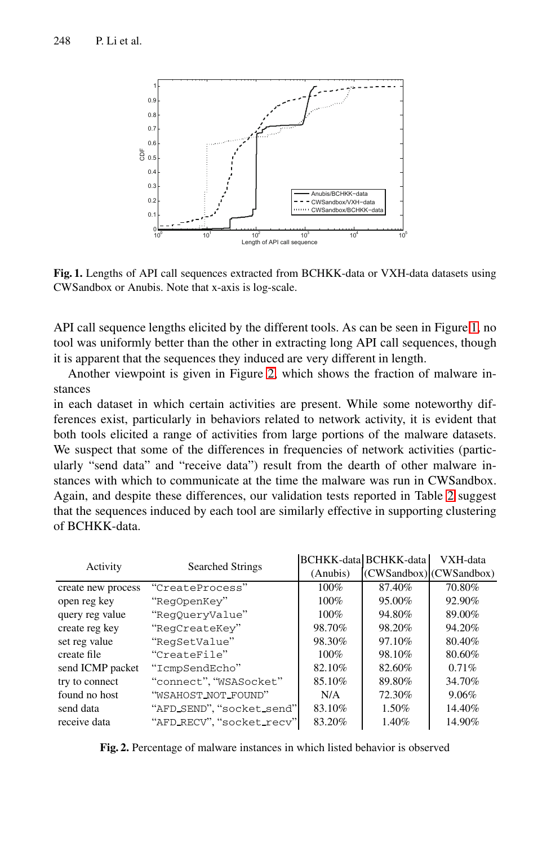

<span id="page-10-0"></span>**Fig. 1.** Lengths of API call sequences extracted from BCHKK-data or VXH-data datasets using CWSandbox or Anubis. Note that x-axis is log-scale.

API call sequence lengths elicited by the different tools. As can be seen in Figure 1, no tool was uniformly better than the other in extracting long API call sequences, though it is apparent that the sequences they induced are very different in length.

Another viewpoint is given in Figure 2, which sho[ws](#page-9-0) the fraction of malware instances

in each dataset in which certain activities are present. While some noteworthy differences exist, particularly in behaviors related to network activity, it is evident that both tools elicited a range of activities from large portions of the malware datasets. We suspect that some of the differences in frequencies of network activities (particularly "send data" and "receive data") result from the dearth of other malware instances with which to communicate at the time the malware was run in CWSandbox. Again, and despite these differences, our validation tests reported in Table 2 suggest that the sequences induced by each tool are similarly effective in supporting clustering of BCHKK-data.

| Activity           | Searched Strings          |          | <b>BCHKK-datal BCHKK-data</b> | VXH-data |
|--------------------|---------------------------|----------|-------------------------------|----------|
|                    |                           | (Anubis) | (CWSandbox) (CWSandbox)       |          |
| create new process | "CreateProcess"           | $100\%$  | 87.40%                        | 70.80%   |
| open reg key       | "RegOpenKey"              | $100\%$  | 95.00%                        | 92.90%   |
| query reg value    | "RegOueryValue"           | $100\%$  | 94.80%                        | 89.00%   |
| create reg key     | "RegCreateKey"            | 98.70%   | 98.20%                        | 94.20%   |
| set reg value      | "RegSetValue"             | 98.30%   | 97.10%                        | 80.40%   |
| create file        | "CreateFile"              | $100\%$  | 98.10%                        | 80.60%   |
| send ICMP packet   | "IcmpSendEcho"            | 82.10%   | 82.60%                        | 0.71%    |
| try to connect     | "connect", "WSASocket"    | 85.10%   | 89.80%                        | 34.70%   |
| found no host      | "WSAHOST_NOT_FOUND"       | N/A      | 72.30%                        | 9.06%    |
| send data          | "AFD_SEND", "socket_send" | 83.10%   | 1.50%                         | 14.40%   |
| receive data       | "AFD_RECV", "socket_recv" | 83.20%   | $1.40\%$                      | 14.90%   |
|                    |                           |          |                               |          |

**Fig. 2.** Percentage of malware instances in which listed behavior is observed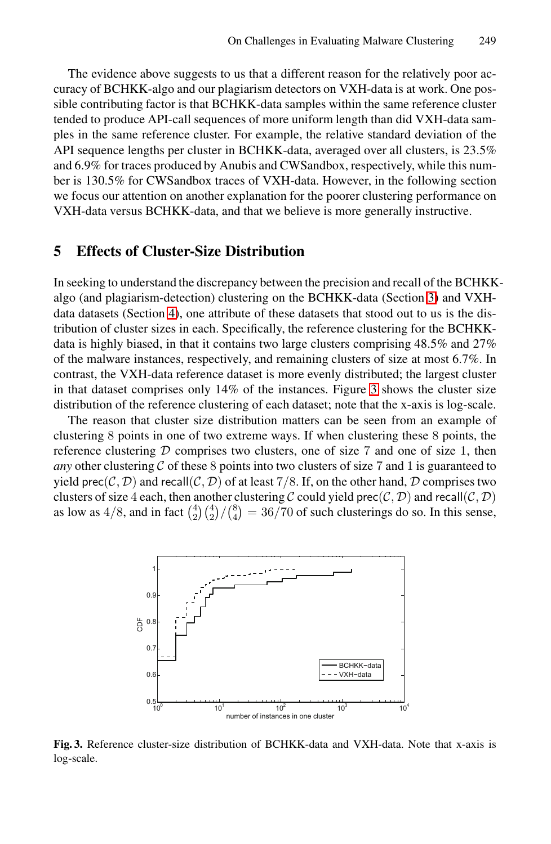The evidence above suggests to us that a different reason for the relatively poor accuracy of BCHKK-algo and our plagiarism detectors on VXH-data is at work. One possible contributing factor is that BCHKK-data samples within the same reference cluster tended to produce API-call sequences of more uniform length than did VXH-data samples in the same reference cluster. For example, the relative standard deviation of the API sequence lengths per cluster in BCHKK-data, averaged over all clusters, is 23.5% and 6.9% for traces produced by Anubis and CWSandbox, respectively, while this number is 130.5% for CWSandbox traces of VXH-data. [H](#page-4-0)owever, in the following section [we](#page-7-0) focus our attention on another explanation for the poorer clustering performance on VXH-data versus BCHKK-data, and that we believe is more generally instructive.

# **5 Effects of Cluster-Size Distribution**

In seeking to understand the discrepancy [bet](#page-11-0)ween the precision and recall of the BCHKKalgo (and plagiarism-detection) clustering on the BCHKK-data (Section 3) and VXHdata datasets (Section 4), one attribute of these datasets that stood out to us is the distribution of cluster sizes in each. Specifically, the reference clustering for the BCHKKdata is highly biased, in that it contains two large clusters comprising 48.5% and 27% of the malware instances, respectively, and remaining clusters of size at most 6.7%. In contrast, the VXH-data reference dataset is more evenly distributed; the largest cluster in that dataset comprises only 14% of the instances. Figure 3 shows the cluster size distribution of the reference clustering of each dataset; note that the x-axis is log-scale.

The reason that cluster size distribution matters can be seen from an example of clustering 8 points in one of two extreme ways. If when clustering these 8 points, the reference clustering  $D$  comprises two clusters, one of size  $7$  and one of size 1, then *any* other clustering  $C$  of these 8 points into two clusters of size 7 and 1 is guaranteed to yield prec(C, D) and recall(C, D) of at least 7/8. If, on the other hand, D comprises two clusters of size 4 each, then another clustering C could yield prec $(C, D)$  and recall $(C, D)$ as low as  $4/8$ , and in fact  $\binom{4}{2}\binom{8}{4} = 36/70$  of such clusterings do so. In this sense,



<span id="page-11-0"></span>**Fig. 3.** Reference cluster-size distribution of BCHKK-data and VXH-data. Note that x-axis is log-scale.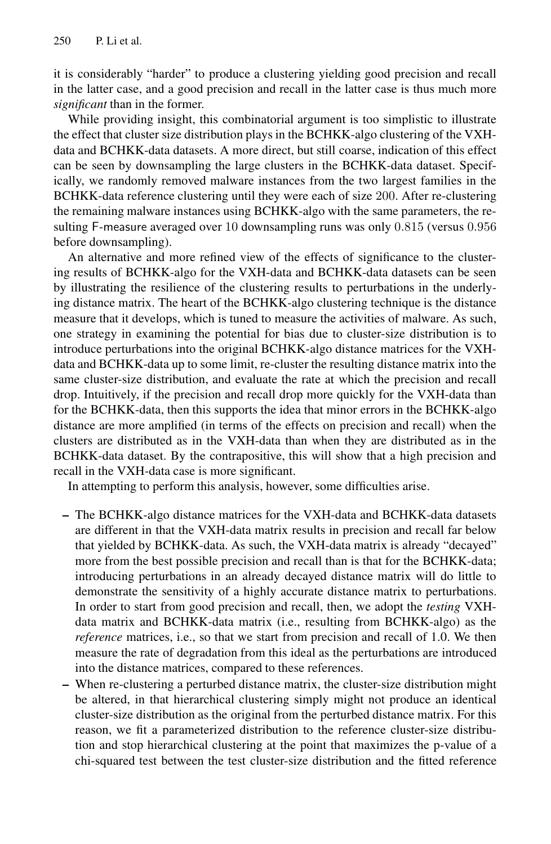it is considerably "harder" to produce a clustering yielding good precision and recall in the latter case, and a good precision and recall in the latter case is thus much more *significant* than in the former.

While providing insight, this combinatorial argument is too simplistic to illustrate the effect that cluster size distribution plays in the BCHKK-algo clustering of the VXHdata and BCHKK-data datasets. A more direct, but still coarse, indication of this effect can be seen by downsampling the large clusters in the BCHKK-data dataset. Specifically, we randomly removed malware instances from the two largest families in the BCHKK-data reference clustering until they were each of size 200. After re-clustering the remaining malware instances using BCHKK-algo with the same parameters, the resulting <sup>F</sup>-measure averaged over 10 downsampling runs was only 0.815 (versus 0.956 before downsampling).

An alternative and more refined view of the effects of significance to the clustering results of BCHKK-algo for the VXH-data and BCHKK-data datasets can be seen by illustrating the resilience of the clustering results to perturbations in the underlying distance matrix. The heart of the BCHKK-algo clustering technique is the distance measure that it develops, which is tuned to measure the activities of malware. As such, one strategy in examining the potential for bias due to cluster-size distribution is to introduce perturbations into the original BCHKK-algo distance matrices for the VXHdata and BCHKK-data up to some limit, re-cluster the resulting distance matrix into the same cluster-size distribution, and evaluate the rate at which the precision and recall drop. Intuitively, if the precision and recall drop more quickly for the VXH-data than for the BCHKK-data, then this supports the idea that minor errors in the BCHKK-algo distance are more amplified (in terms of the effects on precision and recall) when the clusters are distributed as in the VXH-data than when they are distributed as in the BCHKK-data dataset. By the contrapositive, this will show that a high precision and recall in the VXH-data case is more significant.

In attempting to perform this analysis, however, some difficulties arise.

- **–** The BCHKK-algo distance matrices for the VXH-data and BCHKK-data datasets are different in that the VXH-data matrix results in precision and recall far below that yielded by BCHKK-data. As such, the VXH-data matrix is already "decayed" more from the best possible precision and recall than is that for the BCHKK-data; introducing perturbations in an already decayed distance matrix will do little to demonstrate the sensitivity of a highly accurate distance matrix to perturbations. In order to start from good precision and recall, then, we adopt the *testing* VXHdata matrix and BCHKK-data matrix (i.e., resulting from BCHKK-algo) as the *reference* matrices, i.e., so that we start from precision and recall of 1.0. We then measure the rate of degradation from this ideal as the perturbations are introduced into the distance matrices, compared to these references.
- **–** When re-clustering a perturbed distance matrix, the cluster-size distribution might be altered, in that hierarchical clustering simply might not produce an identical cluster-size distribution as the original from the perturbed distance matrix. For this reason, we fit a parameterized distribution to the reference cluster-size distribution and stop hierarchical clustering at the point that maximizes the p-value of a chi-squared test between the test cluster-size distribution and the fitted reference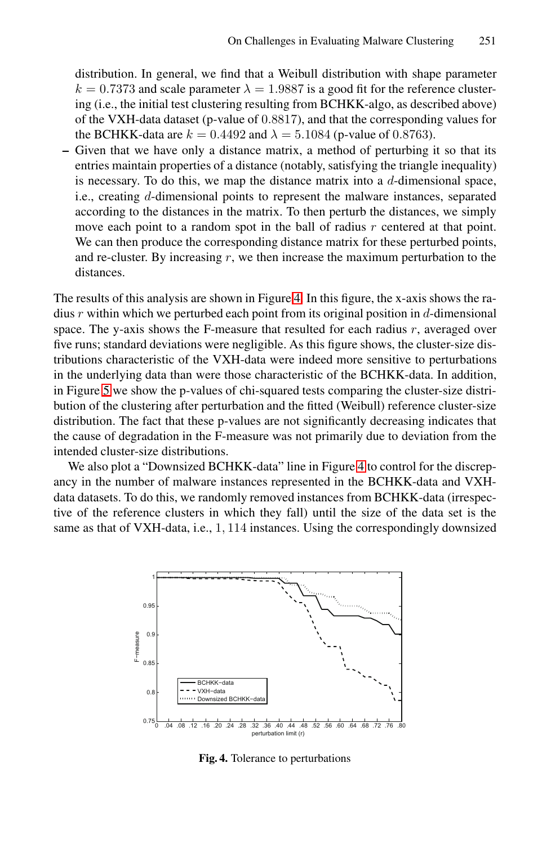distribution. In general, we find that a Weibull distribution with shape parameter  $k = 0.7373$  and scale parameter  $\lambda = 1.9887$  is a good fit for the reference clustering (i.e., the initial test clustering resulting from BCHKK-algo, as described above) of the VXH-data dataset (p-value of 0.8817), and that the corresponding values for the BCHKK-data are  $k = 0.4492$  and  $\lambda = 5.1084$  (p-value of 0.8763).

**–** Given that we have only a distance matrix, a method of perturbing it so that its entries maintain properties of a distance (notably, satisfying the triangle inequality) is necessary. To do t[his](#page-13-0), we map the distance matrix into a  $d$ -dimensional space, i.e., creating d-dimensional points to represent the malware instances, separated according to the distances in the matrix. To then perturb the distances, we simply move each point to a random spot in the ball of radius  $r$  centered at that point. We can then produce the corresponding distance matrix for these perturbed points, and re-cluster. By increasing  $r$ , we then increase the maximum perturbation to the distances.

The results of this analysis are shown in Figure 4. In this figure, the x-axis shows the radius  $r$  within which we perturbed each point from its original position in  $d$ -dimensional space. The y-axis shows the F-measure that resulted for each radius  $r$ , averaged over five runs; standard deviations were ne[glig](#page-13-0)ible. As this figure shows, the cluster-size distributions characteristic of the VXH-data were indeed more sensitive to perturbations in the underlying data than were those characteristic of the BCHKK-data. In addition, in Figure 5 we show the p-values of chi-squared tests comparing the cluster-size distribution of the clustering after perturbation and the fitted (Weibull) reference cluster-size distribution. The fact that these p-values are not significantly decreasing indicates that the cause of degradation in the F-measure was not primarily due to deviation from the intended cluster-size distributions.

We also plot a "Downsized BCHKK-data" line in Figure 4 to control for the discrepancy in the number of malware instances represented in the BCHKK-data and VXHdata datasets. To do this, we randomly removed instances from BCHKK-data (irrespective of the reference clusters in which they fall) until the size of the data set is the same as that of VXH-data, i.e., 1, 114 instances. Using the correspondingly downsized

<span id="page-13-0"></span>

**Fig. 4.** Tolerance to perturbations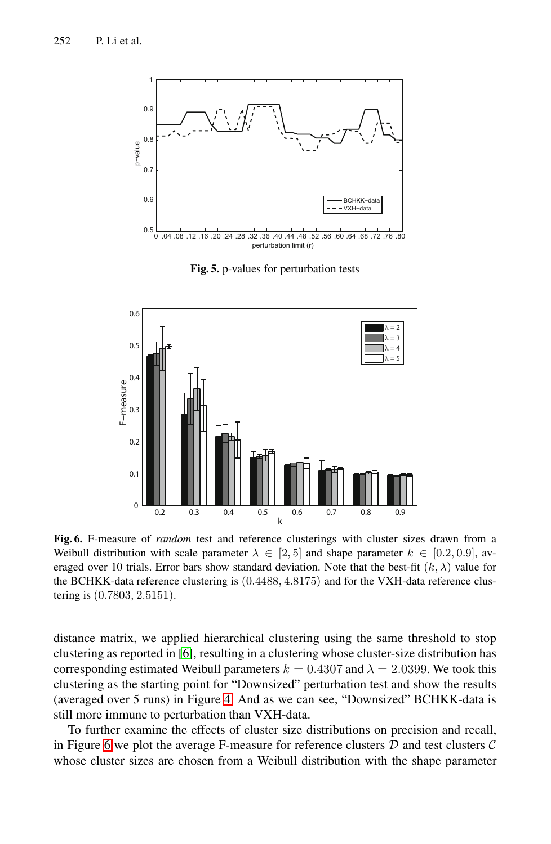

**Fig. 5.** p-values for perturbation tests



**Fig. [6.](#page-16-0)** F-measure of *random* test and reference clusterings with cluster sizes drawn from a Weibull distribution with scale parameter  $\lambda \in [2, 5]$  and shape parameter  $k \in [0.2, 0.9]$ , averaged over 10 trials. Error bars show standard deviation. Note that the best-fit  $(k, \lambda)$  value for the BCHKK-[dat](#page-13-0)a reference clustering is (0.4488, 4.8175) and for the VXH-data reference clustering is (0.7803, 2.5151).

distance matrix, we applied hierarchical clustering using the same threshold to stop clustering as reported in [6], resulting in a clustering whose cluster-size distribution has corresponding estimated Weibull parameters  $k = 0.4307$  and  $\lambda = 2.0399$ . We took this clustering as the starting point for "Downsized" perturbation test and show the results (averaged over 5 runs) in Figure 4. And as we can see, "Downsized" BCHKK-data is still more immune to perturbation than VXH-data.

To further examine the effects of cluster size distributions on precision and recall, in Figure 6 we plot the average F-measure for reference clusters  $D$  and test clusters  $C$ whose cluster sizes are chosen from a Weibull distribution with the shape parameter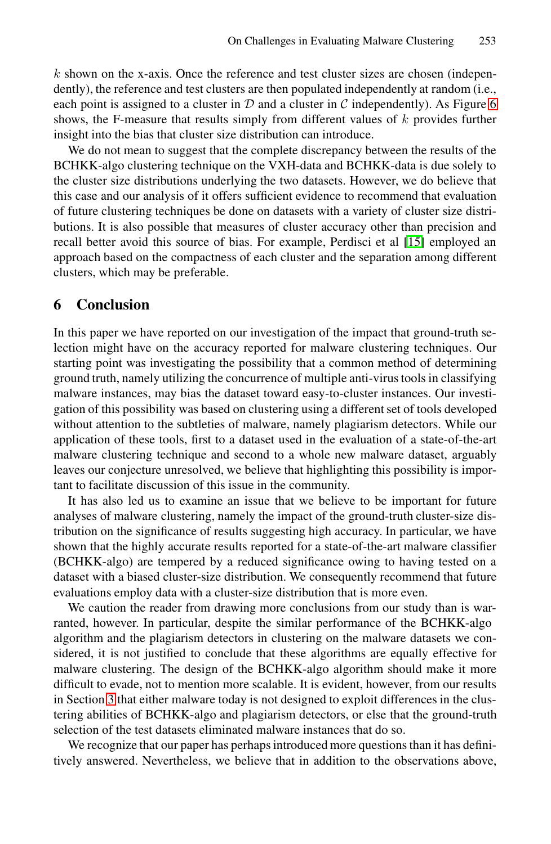$k$  shown on the x-axis. Once the reference and test cluster sizes are chosen (independently), the reference and test clusters are then populated independently at random (i.e., each point is assigned to a cluster in  $\mathcal D$  and a cluster in C independently). As Figure 6 shows, the F-measure that results simply from [diff](#page-16-11)erent values of  $k$  provides further insight into the bias that cluster size distribution can introduce.

We do not mean to suggest that the complete discrepancy between the results of the BCHKK-algo clustering technique on the VXH-data and BCHKK-data is due solely to the cluster size distributions underlying the two datasets. However, we do believe that this case and our analysis of it offers sufficient evidence to recommend that evaluation of future clustering techniques be done on datasets with a variety of cluster size distributions. It is also possible that measures of cluster accuracy other than precision and recall better avoid this source of bias. For example, Perdisci et al [15] employed an approach based on the compactness of each cluster and the separation among different clusters, which may be preferable.

### **6 Conclusion**

In this paper we have reported on our investigation of the impact that ground-truth selection might have on the accuracy reported for malware clustering techniques. Our starting point was investigating the possibility that a common method of determining ground truth, namely utilizing the concurrence of multiple anti-virus tools in classifying malware instances, may bias the dataset toward easy-to-cluster instances. Our investigation of this possibility was based on clustering using a different set of tools developed without attention to the subtleties of malware, namely plagiarism detectors. While our application of these tools, first to a dataset used in the evaluation of a state-of-the-art malware clustering technique and second to a whole new malware dataset, arguably leaves our conjecture unresolved, we believe that highlighting this possibility is important to facilitate discussion of this issue in the community.

It has also led us to examine an issue that we believe to be important for future analyses of malware clustering, namely the impact of the ground-truth cluster-size distribution on the significance of results suggesting high accuracy. In particular, we have shown that the highly accurate results reported for a state-of-the-art malware classifier (BCHKK-algo) are tempered by a reduced significance owing to having tested on a dataset with a biased cluster-size distribution. We consequently recommend that future evaluations employ data with a cluster-size distribution that is more even.

We caution the reader from drawing more conclusions from our study than is warranted, however. In particular, despite the similar performance of the BCHKK-algo algorithm and the plagiarism detectors in clustering on the malware datasets we considered, it is not justified to conclude that these algorithms are equally effective for malware clustering. The design of the BCHKK-algo algorithm should make it more difficult to evade, not to mention more scalable. It is evident, however, from our results in Section 3 that either malware today is not designed to exploit differences in the clustering abilities of BCHKK-algo and plagiarism detectors, or else that the ground-truth selection of the test datasets eliminated malware instances that do so.

We recognize that our paper has perhaps introduced more questions than it has definitively answered. Nevertheless, we believe that in addition to the observations above,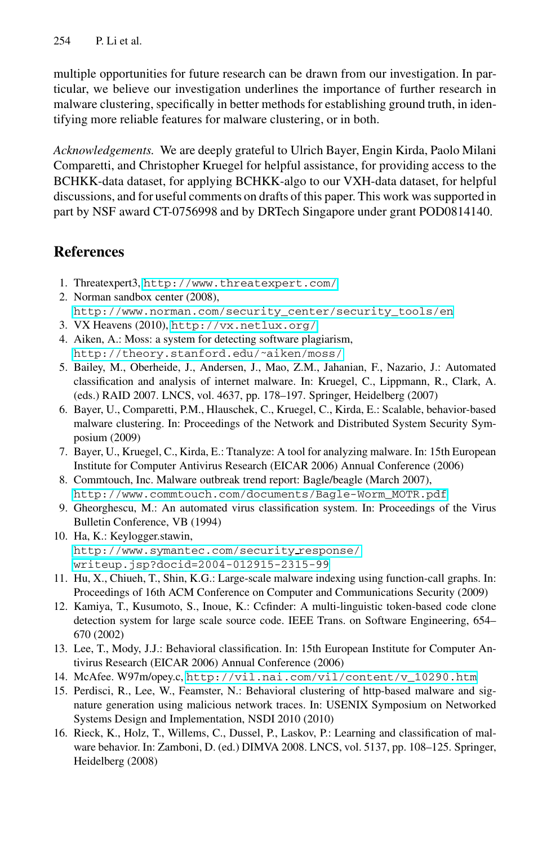multiple opportunities for future research can be drawn from our investigation. In particular, we believe our investigation underlines the importance of further research in malware clustering, specifically in better methods for establishing ground truth, in identifying more reliable features for malware clustering, or in both.

<span id="page-16-10"></span><span id="page-16-4"></span>*Acknowledgements.* We are deeply grateful to Ulrich Bayer, Engin Kirda, Paolo Milani [Comparetti, and Christopher Krueg](http://www.threatexpert.com/)el for helpful assistance, for providing access to the BCHKK-data dataset, for applying BCHKK-algo to our VXH-data dataset, for helpful [discussions, and for useful comments on drafts of this pape](http://www.norman.com/security_center/security_tools/en)r. This work was supported in p[art by NSF award CT-0756998](http://vx.netlux.org/) and by DRTech Singapore under grant POD0814140.

# <span id="page-16-6"></span><span id="page-16-0"></span>**References**

- 1. Threatexpert3, http://www.threatexpert.com/
- 2. Norman sandbox center (2008),
- http://www.norman.com/security\_center/security\_tools/en
- <span id="page-16-3"></span>3. VX Heavens (2010), http://vx.netlux.org/
- 4. Aiken, A.: Moss: a system for detecting software plagiarism, http://theory.stanford.edu/˜aiken/moss/
- 5. Bailey, M., Oberheide, J., Andersen, J., Mao, Z.M., Jahanian, F., Nazario, J.: Automated [classification](http://www.commtouch.com/documents/Bagle-Worm_MOTR.pdf) [and](http://www.commtouch.com/documents/Bagle-Worm_MOTR.pdf) [analysis](http://www.commtouch.com/documents/Bagle-Worm_MOTR.pdf) [of](http://www.commtouch.com/documents/Bagle-Worm_MOTR.pdf) [internet](http://www.commtouch.com/documents/Bagle-Worm_MOTR.pdf) [malware.](http://www.commtouch.com/documents/Bagle-Worm_MOTR.pdf) [In:](http://www.commtouch.com/documents/Bagle-Worm_MOTR.pdf) [Krueg](http://www.commtouch.com/documents/Bagle-Worm_MOTR.pdf)el, C., Lippmann, R., Clark, A. (eds.) RAID 2007. LNCS, vol. 4637, pp. 178–197. Springer, Heidelberg (2007)
- <span id="page-16-1"></span>6. Bayer, U., Comparetti, P.M., Hlauschek, C., Kruegel, C., Kirda, E.: Scalable, behavior-based [malware clustering. In: Proceedings of](http://www.symantec.com/security_response/writeup.jsp?docid=2004-012915-2315-99) the Network and Distributed System Security Symposium (2009)
- <span id="page-16-8"></span>[7.](http://www.symantec.com/security_response/writeup.jsp?docid=2004-012915-2315-99) [Bayer,](http://www.symantec.com/security_response/writeup.jsp?docid=2004-012915-2315-99) [U.,](http://www.symantec.com/security_response/writeup.jsp?docid=2004-012915-2315-99) [Kruegel,](http://www.symantec.com/security_response/writeup.jsp?docid=2004-012915-2315-99) [C.,](http://www.symantec.com/security_response/writeup.jsp?docid=2004-012915-2315-99) [Kirda,](http://www.symantec.com/security_response/writeup.jsp?docid=2004-012915-2315-99) [E.:](http://www.symantec.com/security_response/writeup.jsp?docid=2004-012915-2315-99) Ttanalyze: A tool for analyzing malware. In: 15th European Institute for Computer Antivirus Research (EICAR 2006) Annual Conference (2006)
- <span id="page-16-9"></span>8. Commtouch, Inc. Malware outbreak trend report: Bagle/beagle (March 2007), http://www.commtouch.com/documents/Bagle-Worm\_MOTR.pdf
- 9. Gheorghescu, M.: An automated virus classification system. In: Proceedings of the Virus Bulletin Conference, VB (1994)
- <span id="page-16-5"></span><span id="page-16-2"></span>10. Ha, K.: Keylogger.stawin, http://www.symantec.com/security\_response/ [writeup.jsp?docid=2004-012915-2315-99](http://vil.nai.com/vil/content/v_10290.htm)
- <span id="page-16-11"></span>11. Hu, X., Chiueh, T., Shin, K.G.: Large-scale malware indexing using function-call graphs. In: Proceedings of 16th ACM Conference on Computer and Communications Security (2009)
- <span id="page-16-7"></span>12. Kamiya, T., Kusumoto, S., Inoue, K.: Ccfinder: A multi-linguistic token-based code clone detection system for large scale source code. IEEE Trans. on Software Engineering, 654– 670 (2002)
- 13. Lee, T., Mody, J.J.: Behavioral classification. In: 15th European Institute for Computer Antivirus Research (EICAR 2006) Annual Conference (2006)
- 14. McAfee. W97m/opey.c, http://vil.nai.com/vil/content/v\_10290.htm
- 15. Perdisci, R., Lee, W., Feamster, N.: Behavioral clustering of http-based malware and signature generation using malicious network traces. In: USENIX Symposium on Networked Systems Design and Implementation, NSDI 2010 (2010)
- 16. Rieck, K., Holz, T., Willems, C., Dussel, P., Laskov, P.: Learning and classification of malware behavior. In: Zamboni, D. (ed.) DIMVA 2008. LNCS, vol. 5137, pp. 108–125. Springer, Heidelberg (2008)